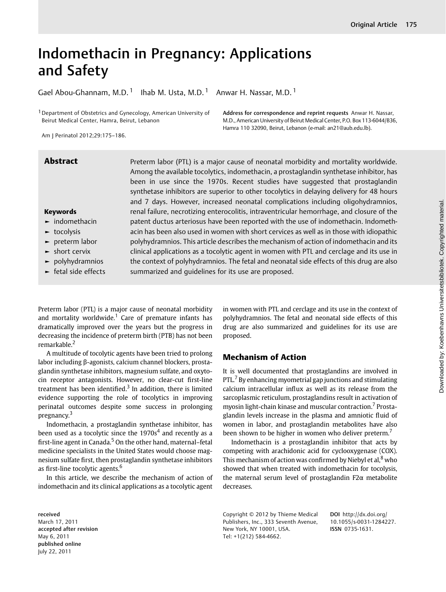# Indomethacin in Pregnancy: Applications and Safety

Gael Abou-Ghannam, M.D.<sup>1</sup> Ihab M. Usta, M.D.<sup>1</sup> Anwar H. Nassar, M.D.<sup>1</sup>

<sup>1</sup> Department of Obstetrics and Gynecology, American University of Beirut Medical Center, Hamra, Beirut, Lebanon

Address for correspondence and reprint requests Anwar H. Nassar, M.D., American University of Beirut Medical Center, P.O. Box 113-6044/B36, Hamra 110 32090, Beirut, Lebanon (e-mail: an21@aub.edu.lb).

Am J Perinatol 2012;29:175–186.

# Keywords

- ► indomethacin
- ► tocolysis
- ► preterm labor
- ► short cervix
- ► polyhydramnios
- ► fetal side effects

Abstract Preterm labor (PTL) is a major cause of neonatal morbidity and mortality worldwide. Among the available tocolytics, indomethacin, a prostaglandin synthetase inhibitor, has been in use since the 1970s. Recent studies have suggested that prostaglandin synthetase inhibitors are superior to other tocolytics in delaying delivery for 48 hours and 7 days. However, increased neonatal complications including oligohydramnios, renal failure, necrotizing enterocolitis, intraventricular hemorrhage, and closure of the patent ductus arteriosus have been reported with the use of indomethacin. Indomethacin has been also used in women with short cervices as well as in those with idiopathic polyhydramnios. This article describes the mechanism of action of indomethacin and its clinical applications as a tocolytic agent in women with PTL and cerclage and its use in the context of polyhydramnios. The fetal and neonatal side effects of this drug are also summarized and guidelines for its use are proposed.

Preterm labor (PTL) is a major cause of neonatal morbidity and mortality worldwide.<sup>1</sup> Care of premature infants has dramatically improved over the years but the progress in decreasing the incidence of preterm birth (PTB) has not been remarkable.<sup>2</sup>

A multitude of tocolytic agents have been tried to prolong labor including β-agonists, calcium channel blockers, prostaglandin synthetase inhibitors, magnesium sulfate, and oxytocin receptor antagonists. However, no clear-cut first-line treatment has been identified. $3$  In addition, there is limited evidence supporting the role of tocolytics in improving perinatal outcomes despite some success in prolonging pregnancy.<sup>3</sup>

Indomethacin, a prostaglandin synthetase inhibitor, has been used as a tocolytic since the  $1970s<sup>4</sup>$  and recently as a first-line agent in Canada.<sup>5</sup> On the other hand, maternal-fetal medicine specialists in the United States would choose magnesium sulfate first, then prostaglandin synthetase inhibitors as first-line tocolytic agents.<sup>6</sup>

In this article, we describe the mechanism of action of indomethacin and its clinical applications as a tocolytic agent

in women with PTL and cerclage and its use in the context of polyhydramnios. The fetal and neonatal side effects of this drug are also summarized and guidelines for its use are proposed.

# Mechanism of Action

It is well documented that prostaglandins are involved in PTL. $<sup>7</sup>$  By enhancing myometrial gap junctions and stimulating</sup> calcium intracellular influx as well as its release from the sarcoplasmic reticulum, prostaglandins result in activation of myosin light-chain kinase and muscular contraction.<sup>7</sup> Prostaglandin levels increase in the plasma and amniotic fluid of women in labor, and prostaglandin metabolites have also been shown to be higher in women who deliver preterm.<sup>7</sup>

Indomethacin is a prostaglandin inhibitor that acts by competing with arachidonic acid for cyclooxygenase (COX). This mechanism of action was confirmed by Niebyl et al, $8$  who showed that when treated with indomethacin for tocolysis, the maternal serum level of prostaglandin F2α metabolite decreases.

Copyright © 2012 by Thieme Medical Publishers, Inc., 333 Seventh Avenue, New York, NY 10001, USA. Tel: +1(212) 584-4662.

DOI http://dx.doi.org/ 10.1055/s-0031-1284227. ISSN 0735-1631.

received March 17, 2011 accepted after revision May 6, 2011 published online July 22, 2011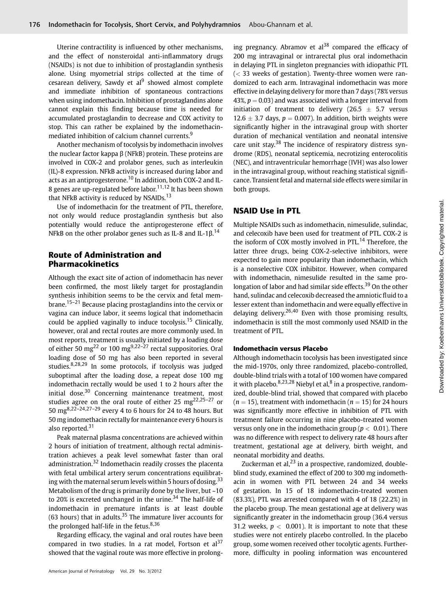Uterine contractility is influenced by other mechanisms, and the effect of nonsteroidal anti-inflammatory drugs (NSAIDs) is not due to inhibition of prostaglandin synthesis alone. Using myometrial strips collected at the time of cesarean delivery, Sawdy et al $^{9}$  showed almost complete and immediate inhibition of spontaneous contractions when using indomethacin. Inhibition of prostaglandins alone cannot explain this finding because time is needed for accumulated prostaglandin to decrease and COX activity to stop. This can rather be explained by the indomethacinmediated inhibition of calcium channel currents.<sup>9</sup>

Another mechanism of tocolysis by indomethacin involves the nuclear factor kappa β (NFkB) protein. These proteins are involved in COX-2 and prolabor genes, such as interleukin (IL)-8 expression. NFkB activity is increased during labor and acts as an antiprogesterone.<sup>10</sup> In addition, both COX-2 and IL-8 genes are up-regulated before labor.<sup>11,12</sup> It has been shown that NFkB activity is reduced by  $NSAIDS$ .<sup>13</sup>

Use of indomethacin for the treatment of PTL, therefore, not only would reduce prostaglandin synthesis but also potentially would reduce the antiprogesterone effect of NFkB on the other prolabor genes such as IL-8 and IL-1 $\beta$ .<sup>14</sup>

# Route of Administration and Pharmacokinetics

Although the exact site of action of indomethacin has never been confirmed, the most likely target for prostaglandin synthesis inhibition seems to be the cervix and fetal mem $brane$ <sup>15–21</sup> Because placing prostaglandins into the cervix or vagina can induce labor, it seems logical that indomethacin could be applied vaginally to induce tocolysis.<sup>15</sup> Clinically, however, oral and rectal routes are more commonly used. In most reports, treatment is usually initiated by a loading dose of either 50 mg<sup>22</sup> or 100 mg<sup>9,22–27</sup> rectal suppositories. Oral loading dose of 50 mg has also been reported in several studies. $8,28,29$  In some protocols, if tocolysis was judged suboptimal after the loading dose, a repeat dose 100 mg indomethacin rectally would be used 1 to 2 hours after the initial dose. $30$  Concerning maintenance treatment, most studies agree on the oral route of either 25 mg<sup>22,25-27</sup> or 50 mg<sup>8,22–24,27–29</sup> every 4 to 6 hours for 24 to 48 hours. But 50 mg indomethacin rectally for maintenance every 6 hours is also reported.<sup>31</sup>

Peak maternal plasma concentrations are achieved within 2 hours of initiation of treatment, although rectal administration achieves a peak level somewhat faster than oral administration.<sup>32</sup> Indomethacin readily crosses the placenta with fetal umbilical artery serum concentrations equilibrating with the maternal serum levels within 5 hours of dosing.<sup>33</sup> Metabolism of the drug is primarily done by the liver, but ~10 to 20% is excreted unchanged in the urine. $34$  The half-life of indomethacin in premature infants is at least double (63 hours) that in adults. $35$  The immature liver accounts for the prolonged half-life in the fetus. $8,36$ 

Regarding efficacy, the vaginal and oral routes have been compared in two studies. In a rat model, Fortson et  $al<sup>37</sup>$ showed that the vaginal route was more effective in prolong-

ing pregnancy. Abramov et  $al^{38}$  compared the efficacy of 200 mg intravaginal or intrarectal plus oral indomethacin in delaying PTL in singleton pregnancies with idiopathic PTL  $(<$  33 weeks of gestation). Twenty-three women were randomized to each arm. Intravaginal indomethacin was more effective in delaying delivery for more than 7 days (78% versus 43%,  $p = 0.03$ ) and was associated with a longer interval from initiation of treatment to delivery (26.5  $\pm$  5.7 versus  $12.6 \pm 3.7$  days,  $p = 0.007$ ). In addition, birth weights were significantly higher in the intravaginal group with shorter duration of mechanical ventilation and neonatal intensive care unit stay.<sup>38</sup> The incidence of respiratory distress syndrome (RDS), neonatal septicemia, necrotizing enterocolitis (NEC), and intraventricular hemorrhage (IVH) was also lower in the intravaginal group, without reaching statistical significance. Transient fetal and maternal side effects were similar in both groups.

# NSAID Use in PTL

Multiple NSAIDs such as indomethacin, nimesulide, sulindac, and celecoxib have been used for treatment of PTL. COX-2 is the isoform of COX mostly involved in PTL.<sup>14</sup> Therefore, the latter three drugs, being COX-2-selective inhibitors, were expected to gain more popularity than indomethacin, which is a nonselective COX inhibitor. However, when compared with indomethacin, nimesulide resulted in the same prolongation of labor and had similar side effects.<sup>39</sup> On the other hand, sulindac and celecoxib decreased the amniotic fluid to a lesser extent than indomethacin and were equally effective in delaying delivery.<sup>26,40</sup> Even with those promising results, indomethacin is still the most commonly used NSAID in the treatment of PTL.

#### Indomethacin versus Placebo

Although indomethacin tocolysis has been investigated since the mid-1970s, only three randomized, placebo-controlled, double-blind trials with a total of 100 women have compared it with placebo.  $8,23,28$  Niebyl et al,  $8$  in a prospective, randomized, double-blind trial, showed that compared with placebo  $(n = 15)$ , treatment with indomethacin  $(n = 15)$  for 24 hours was significantly more effective in inhibition of PTL with treatment failure occurring in nine placebo-treated women versus only one in the indomethacin group ( $p < 0.01$ ). There was no difference with respect to delivery rate 48 hours after treatment, gestational age at delivery, birth weight, and neonatal morbidity and deaths.

Zuckerman et al, $^{23}$  in a prospective, randomized, doubleblind study, examined the effect of 200 to 300 mg indomethacin in women with PTL between 24 and 34 weeks of gestation. In 15 of 18 indomethacin-treated women (83.3%), PTL was arrested compared with 4 of 18 (22.2%) in the placebo group. The mean gestational age at delivery was significantly greater in the indomethacin group (36.4 versus 31.2 weeks,  $p < 0.001$ ). It is important to note that these studies were not entirely placebo controlled. In the placebo group, some women received other tocolytic agents. Furthermore, difficulty in pooling information was encountered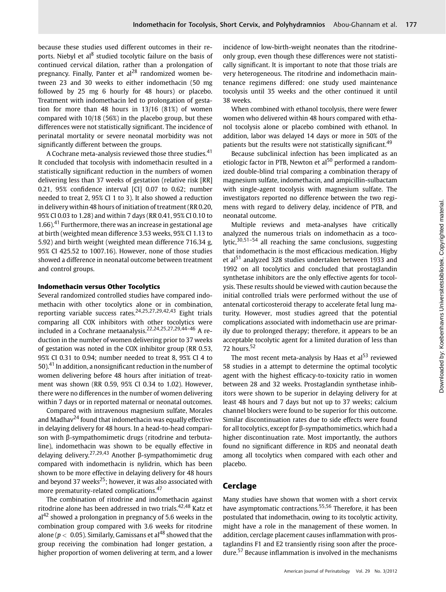because these studies used different outcomes in their reports. Niebyl et al<sup>8</sup> studied tocolytic failure on the basis of continued cervical dilation, rather than a prolongation of pregnancy. Finally, Panter et  $al^{28}$  randomized women between 23 and 30 weeks to either indomethacin (50 mg followed by 25 mg 6 hourly for 48 hours) or placebo. Treatment with indomethacin led to prolongation of gestation for more than 48 hours in 13/16 (81%) of women compared with 10/18 (56%) in the placebo group, but these differences were not statistically significant. The incidence of perinatal mortality or severe neonatal morbidity was not significantly different between the groups.

A Cochrane meta-analysis reviewed those three studies.<sup>41</sup> It concluded that tocolysis with indomethacin resulted in a statistically significant reduction in the numbers of women delivering less than 37 weeks of gestation (relative risk [RR] 0.21, 95% confidence interval [CI] 0.07 to 0.62; number needed to treat 2, 95% CI 1 to 3). It also showed a reduction in delivery within 48 hours of initiation of treatment (RR 0.20, 95% CI 0.03 to 1.28) and within 7 days (RR 0.41, 95% CI 0.10 to 1.66). $41$  Furthermore, there was an increase in gestational age at birth (weighted mean difference 3.53 weeks, 95% CI 1.13 to 5.92) and birth weight (weighted mean difference 716.34 g, 95% CI 425.52 to 1007.16). However, none of those studies showed a difference in neonatal outcome between treatment and control groups.

#### Indomethacin versus Other Tocolytics

Several randomized controlled studies have compared indomethacin with other tocolytics alone or in combination, reporting variable success rates.<sup>24,25,27,29,42,43</sup> Eight trials comparing all COX inhibitors with other tocolytics were included in a Cochrane metaanalysis.<sup>22,24,25,27,29,44-46</sup> A reduction in the number of women delivering prior to 37 weeks of gestation was noted in the COX inhibitor group (RR 0.53, 95% CI 0.31 to 0.94; number needed to treat 8, 95% CI 4 to 50). $41$  In addition, a nonsignificant reduction in the number of women delivering before 48 hours after initiation of treatment was shown (RR 0.59, 95% CI 0.34 to 1.02). However, there were no differences in the number of women delivering within 7 days or in reported maternal or neonatal outcomes.

Compared with intravenous magnesium sulfate, Morales and Madhav<sup>24</sup> found that indomethacin was equally effective in delaying delivery for 48 hours. In a head-to-head comparison with β-sympathomimetic drugs (ritodrine and terbutaline), indomethacin was shown to be equally effective in delaying delivery.27,29,43 Another β-sympathomimetic drug compared with indomethacin is nylidrin, which has been shown to be more effective in delaying delivery for 48 hours and beyond 37 weeks<sup>25</sup>; however, it was also associated with more prematurity-related complications.<sup>47</sup>

The combination of ritodrine and indomethacin against ritodrine alone has been addressed in two trials.<sup>42,48</sup> Katz et  $al<sup>42</sup>$  showed a prolongation in pregnancy of 5.6 weeks in the combination group compared with 3.6 weeks for ritodrine alone ( $p < 0.05$ ). Similarly, Gamissans et al<sup>48</sup> showed that the group receiving the combination had longer gestation, a higher proportion of women delivering at term, and a lower incidence of low-birth-weight neonates than the ritodrineonly group, even though these differences were not statistically significant. It is important to note that those trials are very heterogeneous. The ritodrine and indomethacin maintenance regimens differed: one study used maintenance tocolysis until 35 weeks and the other continued it until 38 weeks.

When combined with ethanol tocolysis, there were fewer women who delivered within 48 hours compared with ethanol tocolysis alone or placebo combined with ethanol. In addition, labor was delayed 14 days or more in 50% of the patients but the results were not statistically significant.<sup>49</sup>

Because subclinical infection has been implicated as an etiologic factor in PTB, Newton et al<sup>50</sup> performed a randomized double-blind trial comparing a combination therapy of magnesium sulfate, indomethacin, and ampicillin-sulbactam with single-agent tocolysis with magnesium sulfate. The investigators reported no difference between the two regimens with regard to delivery delay, incidence of PTB, and neonatal outcome.

Multiple reviews and meta-analyses have critically analyzed the numerous trials on indomethacin as a tocolytic, $30,51-54$  all reaching the same conclusions, suggesting that indomethacin is the most efficacious medication. Higby et al<sup>51</sup> analyzed 328 studies undertaken between 1933 and 1992 on all tocolytics and concluded that prostaglandin synthetase inhibitors are the only effective agents for tocolysis. These results should be viewed with caution because the initial controlled trials were performed without the use of antenatal corticosteroid therapy to accelerate fetal lung maturity. However, most studies agreed that the potential complications associated with indomethacin use are primarily due to prolonged therapy; therefore, it appears to be an acceptable tocolytic agent for a limited duration of less than 72 hours.<sup>52</sup>

The most recent meta-analysis by Haas et  $al<sup>53</sup>$  reviewed 58 studies in a attempt to determine the optimal tocolytic agent with the highest efficacy-to-toxicity ratio in women between 28 and 32 weeks. Prostaglandin synthetase inhibitors were shown to be superior in delaying delivery for at least 48 hours and 7 days but not up to 37 weeks; calcium channel blockers were found to be superior for this outcome. Similar discontinuation rates due to side effects were found for all tocolytics, except for β-sympathomimetics, which had a higher discontinuation rate. Most importantly, the authors found no significant difference in RDS and neonatal death among all tocolytics when compared with each other and placebo.

# **Cerclage**

Many studies have shown that women with a short cervix have asymptomatic contractions.<sup>55,56</sup> Therefore, it has been postulated that indomethacin, owing to its tocolytic activity, might have a role in the management of these women. In addition, cerclage placement causes inflammation with prostaglandins F1 and E2 transiently rising soon after the procedure.<sup>57</sup> Because inflammation is involved in the mechanisms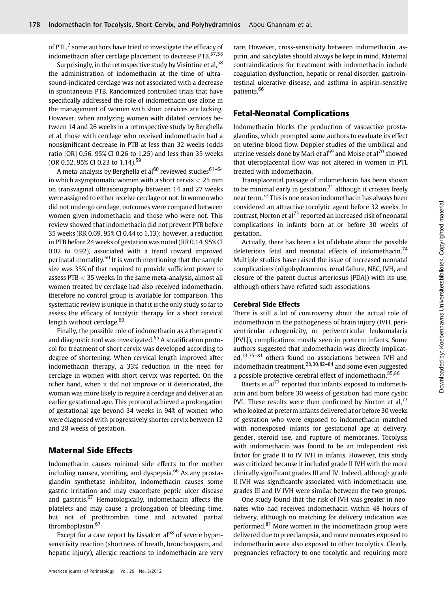of PTL, $<sup>7</sup>$  some authors have tried to investigate the efficacy of</sup> indomethacin after cerclage placement to decrease PTB.<sup>57,58</sup>

Surprisingly, in the retrospective study by Visintine et al,<sup>58</sup> the administration of indomethacin at the time of ultrasound-indicated cerclage was not associated with a decrease in spontaneous PTB. Randomized controlled trials that have specifically addressed the role of indomethacin use alone in the management of women with short cervices are lacking. However, when analyzing women with dilated cervices between 14 and 26 weeks in a retrospective study by Berghella et al, those with cerclage who received indomethacin had a nonsignificant decrease in PTB at less than 32 weeks (odds ratio [OR] 0.56, 95% CI 0.26 to 1.25) and less than 35 weeks (OR 0.52, 95% CI 0.23 to 1.14).<sup>59</sup>

A meta-analysis by Berghella et al<sup>60</sup> reviewed studies<sup>61-64</sup> in which asymptomatic women with a short cervix  $< 25$  mm on transvaginal ultrasonography between 14 and 27 weeks were assigned to either receive cerclage or not. In women who did not undergo cerclage, outcomes were compared between women given indomethacin and those who were not. This review showed that indomethacin did not prevent PTB before 35 weeks (RR 0.69, 95% CI 0.44 to 1.13); however, a reduction in PTB before 24 weeks of gestation was noted (RR 0.14, 95% CI 0.02 to 0.92), associated with a trend toward improved perinatal mortality.<sup>60</sup> It is worth mentioning that the sample size was 35% of that required to provide sufficient power to assess PTB < 35 weeks. In the same meta-analysis, almost all women treated by cerclage had also received indomethacin, therefore no control group is available for comparison. This systematic review is unique in that it is the only study so far to assess the efficacy of tocolytic therapy for a short cervical length without cerclage.<sup>60</sup>

Finally, the possible role of indomethacin as a therapeutic and diagnostic tool was investigated.<sup>65</sup> A stratification protocol for treatment of short cervix was developed according to degree of shortening. When cervical length improved after indomethacin therapy, a 33% reduction in the need for cerclage in women with short cervix was reported. On the other hand, when it did not improve or it deteriorated, the woman was more likely to require a cerclage and deliver at an earlier gestational age. This protocol achieved a prolongation of gestational age beyond 34 weeks in 94% of women who were diagnosed with progressively shorter cervix between 12 and 28 weeks of gestation.

# Maternal Side Effects

Indomethacin causes minimal side effects to the mother including nausea, vomiting, and dyspepsia. $66$  As any prostaglandin synthetase inhibitor, indomethacin causes some gastric irritation and may exacerbate peptic ulcer disease and gastritis.<sup>67</sup> Hematologically, indomethacin affects the platelets and may cause a prolongation of bleeding time, but not of prothrombin time and activated partial thromboplastin.<sup>67</sup>

Except for a case report by Lissak et  $al^{68}$  of severe hypersensitivity reaction (shortness of breath, bronchospasm, and hepatic injury), allergic reactions to indomethacin are very rare. However, cross-sensitivity between indomethacin, aspirin, and salicylates should always be kept in mind. Maternal contraindications for treatment with indomethacin include coagulation dysfunction, hepatic or renal disorder, gastrointestinal ulcerative disease, and asthma in aspirin-sensitive patients.<sup>66</sup>

# Fetal-Neonatal Complications

Indomethacin blocks the production of vasoactive prostaglandins, which prompted some authors to evaluate its effect on uterine blood flow. Doppler studies of the umbilical and uterine vessels done by Mari et al<sup>69</sup> and Moise et al<sup>70</sup> showed that uteroplacental flow was not altered in women in PTL treated with indomethacin.

Transplacental passage of indomethacin has been shown to be minimal early in gestation, $71$  although it crosses freely near term.<sup>72</sup> This is one reason indomethacin has always been considered an attractive tocolytic agent before 32 weeks. In contrast, Norton et al<sup>73</sup> reported an increased risk of neonatal complications in infants born at or before 30 weeks of gestation.

Actually, there has been a lot of debate about the possible deleterious fetal and neonatal effects of indomethacin.<sup>74</sup> Multiple studies have raised the issue of increased neonatal complications (oligohydramnios, renal failure, NEC, IVH, and closure of the patent ductus arteriosus [PDA]) with its use, although others have refuted such associations.

### Cerebral Side Effects

There is still a lot of controversy about the actual role of indomethacin in the pathogenesis of brain injury (IVH, periventricular echogenicity, or periventricular leukomalacia [PVL]), complications mostly seen in preterm infants. Some authors suggested that indomethacin was directly implicated,<sup>73,75–81</sup> others found no associations between IVH and indomethacin treatment,28,30,82–<sup>84</sup> and some even suggested a possible protective cerebral effect of indomethacin.<sup>85,86</sup>

Baerts et al<sup>77</sup> reported that infants exposed to indomethacin and born before 30 weeks of gestation had more cystic PVL. These results were then confirmed by Norton et al,  $73$ who looked at preterm infants delivered at or before 30 weeks of gestation who were exposed to indomethacin matched with nonexposed infants for gestational age at delivery, gender, steroid use, and rupture of membranes. Tocolysis with indomethacin was found to be an independent risk factor for grade II to IV IVH in infants. However, this study was criticized because it included grade II IVH with the more clinically significant grades III and IV. Indeed, although grade II IVH was significantly associated with indomethacin use, grades III and IV IVH were similar between the two groups.

One study found that the risk of IVH was greater in neonates who had received indomethacin within 48 hours of delivery, although no matching for delivery indication was performed.<sup>81</sup> More women in the indomethacin group were delivered due to preeclampsia, and more neonates exposed to indomethacin were also exposed to other tocolytics. Clearly, pregnancies refractory to one tocolytic and requiring more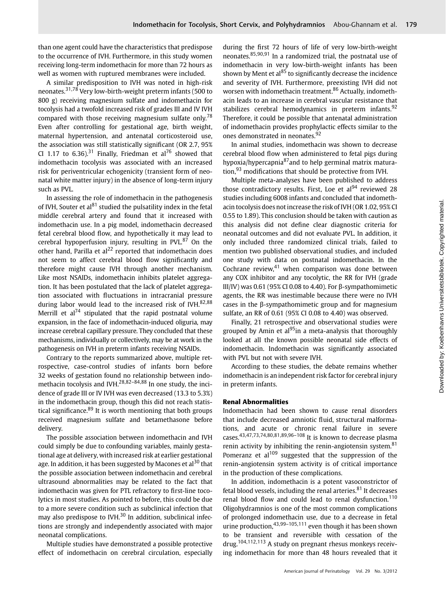than one agent could have the characteristics that predispose to the occurrence of IVH. Furthermore, in this study women receiving long-term indomethacin for more than 72 hours as well as women with ruptured membranes were included.

A similar predisposition to IVH was noted in high-risk neonates.31,78 Very low-birth-weight preterm infants (500 to 800 g) receiving magnesium sulfate and indomethacin for tocolysis had a twofold increased risk of grades III and IV IVH compared with those receiving magnesium sulfate only.<sup>78</sup> Even after controlling for gestational age, birth weight, maternal hypertension, and antenatal corticosteroid use, the association was still statistically significant (OR 2.7, 95% CI 1.17 to 6.36).<sup>31</sup> Finally, Friedman et al<sup>76</sup> showed that indomethacin tocolysis was associated with an increased risk for periventricular echogenicity (transient form of neonatal white matter injury) in the absence of long-term injury such as PVL.

In assessing the role of indomethacin in the pathogenesis of IVH, Souter et al $^{81}$  studied the pulsatility index in the fetal middle cerebral artery and found that it increased with indomethacin use. In a pig model, indomethacin decreased fetal cerebral blood flow, and hypothetically it may lead to cerebral hypoperfusion injury, resulting in PVL. $87$  On the other hand, Parilla et  $al^{22}$  reported that indomethacin does not seem to affect cerebral blood flow significantly and therefore might cause IVH through another mechanism. Like most NSAIDs, indomethacin inhibits platelet aggregation. It has been postulated that the lack of platelet aggregation associated with fluctuations in intracranial pressure during labor would lead to the increased risk of IVH. $82,88$ Merrill et  $al^{74}$  stipulated that the rapid postnatal volume expansion, in the face of indomethacin-induced oliguria, may increase cerebral capillary pressure. They concluded that these mechanisms, individually or collectively, may be at work in the pathogenesis on IVH in preterm infants receiving NSAIDs.

Contrary to the reports summarized above, multiple retrospective, case-control studies of infants born before 32 weeks of gestation found no relationship between indomethacin tocolysis and IVH.<sup>28,82–84,88</sup> In one study, the incidence of grade III or IV IVH was even decreased (13.3 to 5.3%) in the indomethacin group, though this did not reach statistical significance. $89$  It is worth mentioning that both groups received magnesium sulfate and betamethasone before delivery.

The possible association between indomethacin and IVH could simply be due to confounding variables, mainly gestational age at delivery, with increased risk at earlier gestational age. In addition, it has been suggested by Macones et al<sup>30</sup> that the possible association between indomethacin and cerebral ultrasound abnormalities may be related to the fact that indomethacin was given for PTL refractory to first-line tocolytics in most studies. As pointed to before, this could be due to a more severe condition such as subclinical infection that may also predispose to IVH $^{30}$  In addition, subclinical infections are strongly and independently associated with major neonatal complications.

Multiple studies have demonstrated a possible protective effect of indomethacin on cerebral circulation, especially during the first 72 hours of life of very low-birth-weight neonates.85,90,91 In a randomized trial, the postnatal use of indomethacin in very low-birth-weight infants has been shown by Ment et al $^{85}$  to significantly decrease the incidence and severity of IVH. Furthermore, preexisting IVH did not worsen with indomethacin treatment.<sup>86</sup> Actually, indomethacin leads to an increase in cerebral vascular resistance that stabilizes cerebral hemodynamics in preterm infants.<sup>92</sup> Therefore, it could be possible that antenatal administration of indomethacin provides prophylactic effects similar to the ones demonstrated in neonates.<sup>92</sup>

In animal studies, indomethacin was shown to decrease cerebral blood flow when administered to fetal pigs during hypoxia/hypercapnia<sup>87</sup>and to help germinal matrix maturation, $93$  modifications that should be protective from IVH.

Multiple meta-analyses have been published to address those contradictory results. First, Loe et  $al<sup>94</sup>$  reviewed 28 studies including 6008 infants and concluded that indomethacin tocolysis does not increase the risk of IVH (OR 1.02, 95% CI 0.55 to 1.89). This conclusion should be taken with caution as this analysis did not define clear diagnostic criteria for neonatal outcomes and did not evaluate PVL. In addition, it only included three randomized clinical trials, failed to mention two published observational studies, and included one study with data on postnatal indomethacin. In the Cochrane review, $41$  when comparison was done between any COX inhibitor and any tocolytic, the RR for IVH (grade III/IV) was 0.61 (95% CI 0.08 to 4.40). For β-sympathomimetic agents, the RR was inestimable because there were no IVH cases in the β-sympathomimetic group and for magnesium sulfate, an RR of 0.61 (95% CI 0.08 to 4.40) was observed.

Finally, 21 retrospective and observational studies were grouped by Amin et al<sup>95</sup>in a meta-analysis that thoroughly looked at all the known possible neonatal side effects of indomethacin. Indomethacin was significantly associated with PVL but not with severe IVH.

According to these studies, the debate remains whether indomethacin is an independent risk factor for cerebral injury in preterm infants.

#### Renal Abnormalities

Indomethacin had been shown to cause renal disorders that include decreased amniotic fluid, structural malformations, and acute or chronic renal failure in severe cases.43,47,73,74,80,81,89,96–<sup>108</sup> It is known to decrease plasma renin activity by inhibiting the renin-angiotensin system.<sup>81</sup> Pomeranz et  $al^{109}$  suggested that the suppression of the renin-angiotensin system activity is of critical importance in the production of these complications.

In addition, indomethacin is a potent vasoconstrictor of fetal blood vessels, including the renal arteries. $81$  It decreases renal blood flow and could lead to renal dysfunction.<sup>110</sup> Oligohydramnios is one of the most common complications of prolonged indomethacin use, due to a decrease in fetal urine production,  $43,99-105,111$  even though it has been shown to be transient and reversible with cessation of the drug.104,112,113 A study on pregnant rhesus monkeys receiving indomethacin for more than 48 hours revealed that it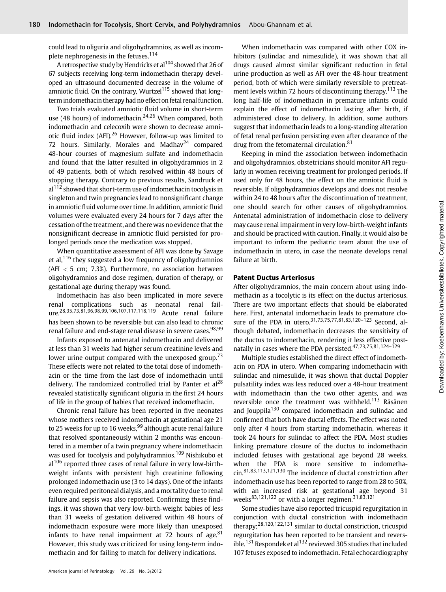could lead to oliguria and oligohydramnios, as well as incomplete nephrogenesis in the fetuses.<sup>114</sup>

A retrospective study by Hendricks et al<sup>104</sup> showed that 26 of 67 subjects receiving long-term indomethacin therapy developed an ultrasound documented decrease in the volume of amniotic fluid. On the contrary, Wurtzel<sup>115</sup> showed that longterm indomethacin therapy had no effect on fetal renal function.

Two trials evaluated amniotic fluid volume in short-term use (48 hours) of indomethacin.<sup>24,26</sup> When compared, both indomethacin and celecoxib were shown to decrease amniotic fluid index (AFI).<sup>26</sup> However, follow-up was limited to 72 hours. Similarly, Morales and Madhav<sup>24</sup> compared 48-hour courses of magnesium sulfate and indomethacin and found that the latter resulted in oligohydramnios in 2 of 49 patients, both of which resolved within 48 hours of stopping therapy. Contrary to previous results, Sandruck et al<sup>112</sup> showed that short-term use of indomethacin tocolysis in singleton and twin pregnancies lead to nonsignificant change in amniotic fluid volume over time. In addition, amniotic fluid volumes were evaluated every 24 hours for 7 days after the cessation of the treatment, and there was no evidence that the nonsignificant decrease in amniotic fluid persisted for prolonged periods once the medication was stopped.

When quantitative assessment of AFI was done by Savage et al,<sup>116</sup> they suggested a low frequency of oligohydramnios (AFI  $<$  5 cm; 7.3%). Furthermore, no association between oligohydramnios and dose regimen, duration of therapy, or gestational age during therapy was found.

Indomethacin has also been implicated in more severe renal complications such as neonatal renal failure.28,35,73,81,96,98,99,106,107,117,118,119 Acute renal failure has been shown to be reversible but can also lead to chronic renal failure and end-stage renal disease in severe cases.<sup>98,99</sup>

Infants exposed to antenatal indomethacin and delivered at less than 31 weeks had higher serum creatinine levels and lower urine output compared with the unexposed group.<sup>73</sup> These effects were not related to the total dose of indomethacin or the time from the last dose of indomethacin until delivery. The randomized controlled trial by Panter et  $al^{28}$ revealed statistically significant oliguria in the first 24 hours of life in the group of babies that received indomethacin.

Chronic renal failure has been reported in five neonates whose mothers received indomethacin at gestational age 21 to 25 weeks for up to 16 weeks, <sup>99</sup> although acute renal failure that resolved spontaneously within 2 months was encountered in a member of a twin pregnancy where indomethacin was used for tocolysis and polyhydramnios.<sup>109</sup> Nishikubo et al<sup>106</sup> reported three cases of renal failure in very low-birthweight infants with persistent high creatinine following prolonged indomethacin use (3 to 14 days). One of the infants even required peritoneal dialysis, and a mortality due to renal failure and sepsis was also reported. Confirming these findings, it was shown that very low-birth-weight babies of less than 31 weeks of gestation delivered within 48 hours of indomethacin exposure were more likely than unexposed infants to have renal impairment at 72 hours of age. $81$ However, this study was criticized for using long-term indomethacin and for failing to match for delivery indications.

When indomethacin was compared with other COX inhibitors (sulindac and nimesulide), it was shown that all drugs caused almost similar significant reduction in fetal urine production as well as AFI over the 48-hour treatment period, both of which were similarly reversible to pretreatment levels within 72 hours of discontinuing therapy.<sup>113</sup> The long half-life of indomethacin in premature infants could explain the effect of indomethacin lasting after birth, if administered close to delivery. In addition, some authors suggest that indomethacin leads to a long-standing alteration of fetal renal perfusion persisting even after clearance of the drug from the fetomaternal circulation.<sup>81</sup>

Keeping in mind the association between indomethacin and oligohydramnios, obstetricians should monitor AFI regularly in women receiving treatment for prolonged periods. If used only for 48 hours, the effect on the amniotic fluid is reversible. If oligohydramnios develops and does not resolve within 24 to 48 hours after the discontinuation of treatment, one should search for other causes of oligohydramnios. Antenatal administration of indomethacin close to delivery may cause renal impairment in very low-birth-weight infants and should be practiced with caution. Finally, it would also be important to inform the pediatric team about the use of indomethacin in utero, in case the neonate develops renal failure at birth.

#### Patent Ductus Arteriosus

After oligohydramnios, the main concern about using indomethacin as a tocolytic is its effect on the ductus arteriosus. There are two important effects that should be elaborated here. First, antenatal indomethacin leads to premature closure of the PDA in utero.<sup>31,73,75,77,81,83,120-123</sup> Second, although debated, indomethacin decreases the sensitivity of the ductus to indomethacin, rendering it less effective postnatally in cases where the PDA persisted.47,73,75,81,124–<sup>129</sup>

Multiple studies established the direct effect of indomethacin on PDA in utero. When comparing indomethacin with sulindac and nimesulide, it was shown that ductal Doppler pulsatility index was less reduced over a 48-hour treatment with indomethacin than the two other agents, and was reversible once the treatment was withheld.<sup>113</sup> Räsänen and Jouppila<sup>130</sup> compared indomethacin and sulindac and confirmed that both have ductal effects. The effect was noted only after 4 hours from starting indomethacin, whereas it took 24 hours for sulindac to affect the PDA. Most studies linking premature closure of the ductus to indomethacin included fetuses with gestational age beyond 28 weeks, when the PDA is more sensitive to indomethacin.81,83,113,121,130 The incidence of ductal constriction after indomethacin use has been reported to range from 28 to 50%, with an increased risk at gestational age beyond 31 weeks<sup>83,121,122</sup> or with a longer regimen.<sup>31,83,121</sup>

Some studies have also reported tricuspid regurgitation in conjunction with ductal constriction with indomethacin therapy;28,120,122,131 similar to ductal constriction, tricuspid regurgitation has been reported to be transient and reversible.<sup>131</sup> Respondek et al<sup>132</sup> reviewed 305 studies that included 107 fetuses exposed to indomethacin. Fetal echocardiography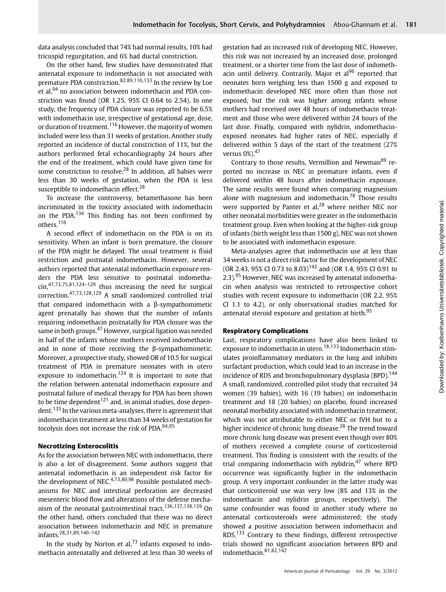data analysis concluded that 74% had normal results, 10% had tricuspid regurgitation, and 6% had ductal constriction.

On the other hand, few studies have demonstrated that antenatal exposure to indomethacin is not associated with premature PDA constriction.82,89,116,133 In the review by Loe et al,<sup>94</sup> no association between indomethacin and PDA constriction was found (OR 1.25, 95% CI 0.64 to 2.54). In one study, the frequency of PDA closure was reported to be 6.5% with indomethacin use, irrespective of gestational age, dose, or duration of treatment.<sup>116</sup> However, the majority of women included were less than 31 weeks of gestation. Another study reported an incidence of ductal constriction of 11%, but the authors performed fetal echocardiography 24 hours after the end of the treatment, which could have given time for some constriction to resolve.<sup>28</sup> In addition, all babies were less than 30 weeks of gestation, when the PDA is less susceptible to indomethacin effect.<sup>28</sup>

To increase the controversy, betamethasone has been incriminated in the toxicity associated with indomethacin on the PDA.<sup>134</sup> This finding has not been confirmed by others.<sup>116</sup>

A second effect of indomethacin on the PDA is on its sensitivity. When an infant is born premature, the closure of the PDA might be delayed. The usual treatment is fluid restriction and postnatal indomethacin. However, several authors reported that antenatal indomethacin exposure renders the PDA less sensitive to postnatal indomethacin,47,73,75,81,124–<sup>129</sup> thus increasing the need for surgical correction.47,73,128,129 A small randomized controlled trial that compared indomethacin with a β-sympathomimetic agent prenatally has shown that the number of infants requiring indomethacin postnatally for PDA closure was the same in both groups.<sup>47</sup> However, surgical ligation was needed in half of the infants whose mothers received indomethacin and in none of those receiving the β-sympathomimetic. Moreover, a prospective study, showed OR of 10.5 for surgical treatment of PDA in premature neonates with in utero exposure to indomethacin.<sup>124</sup> It is important to note that the relation between antenatal indomethacin exposure and postnatal failure of medical therapy for PDA has been shown to be time dependent<sup>121</sup> and, in animal studies, dose dependent.<sup>135</sup> In the various meta-analyses, there is agreement that indomethacin treatment at less than 34 weeks of gestation for tocolysis does not increase the risk of PDA.<sup>94,95</sup>

#### Necrotizing Enterocolitis

As for the association between NEC with indomethacin, there is also a lot of disagreement. Some authors suggest that antenatal indomethacin is an independent risk factor for the development of NEC.<sup>4,73,80,96</sup> Possible postulated mechanisms for NEC and intestinal perforation are decreased mesenteric blood flow and alterations of the defense mechanism of the neonatal gastrointestinal tract.<sup>136,137,138,139</sup> On the other hand, others concluded that there was no direct association between indomethacin and NEC in premature infants.28,31,89,140–<sup>142</sup>

In the study by Norton et al,  $73$  infants exposed to indomethacin antenatally and delivered at less than 30 weeks of gestation had an increased risk of developing NEC. However, this risk was not increased by an increased dose, prolonged treatment, or a shorter time from the last dose of indomethacin until delivery. Contrarily, Major et al<sup>96</sup> reported that neonates born weighing less than 1500 g and exposed to indomethacin developed NEC more often than those not exposed, but the risk was higher among infants whose mothers had received over 48 hours of indomethacin treatment and those who were delivered within 24 hours of the last dose. Finally, compared with nylidrin, indomethacinexposed neonates had higher rates of NEC, especially if delivered within 5 days of the start of the treatment (27% versus 0%).<sup>47</sup>

Contrary to those results, Vermillion and Newman<sup>89</sup> reported no increase in NEC in premature infants, even if delivered within 48 hours after indomethacin exposure. The same results were found when comparing magnesium alone with magnesium and indomethacin.<sup>78</sup> Those results were supported by Panter et al,<sup>28</sup> where neither NEC nor other neonatal morbidities were greater in the indomethacin treatment group. Even when looking at the higher-risk group of infants (birth weight less than 1500 g), NEC was not shown to be associated with indomethacin exposure.

Meta-analyses agree that indomethacin use at less than 34 weeks is not a direct risk factor for the development of NEC (OR 2.43, 95% CI 0.73 to 8.03)<sup>143</sup> and (OR 1.4, 95% CI 0.91 to 2.3).<sup>95</sup> However, NEC was increased by antenatal indomethacin when analysis was restricted to retrospective cohort studies with recent exposure to indomethacin (OR 2.2, 95% CI 1.1 to 4.2), or only observational studies matched for antenatal steroid exposure and gestation at birth.<sup>95</sup>

#### Respiratory Complications

Last, respiratory complications have also been linked to exposure to indomethacin in utero.<sup>18,133</sup> Indomethacin stimulates proinflammatory mediators in the lung and inhibits surfactant production, which could lead to an increase in the incidence of RDS and bronchopulmonary dysplasia (BPD).<sup>144</sup> A small, randomized, controlled pilot study that recruited 34 women (39 babies), with 16 (19 babies) on indomethacin treatment and 18 (20 babies) on placebo, found increased neonatal morbidity associated with indomethacin treatment, which was not attributable to either NEC or IVH but to a higher incidence of chronic lung disease.<sup>28</sup> The trend toward more chronic lung disease was present even though over 80% of mothers received a complete course of corticosteroid treatment. This finding is consistent with the results of the trial comparing indomethacin with nylidrin, $47$  where BPD occurrence was significantly higher in the indomethacin group. A very important confounder in the latter study was that corticosteroid use was very low (8% and 13% in the indomethacin and nylidrin groups, respectively). The same confounder was found in another study where no antenatal corticosteroids were administered; the study showed a positive association between indomethacin and RDS.<sup>133</sup> Contrary to these findings, different retrospective trials showed no significant association between BPD and indomethacin.<sup>81,82,142</sup>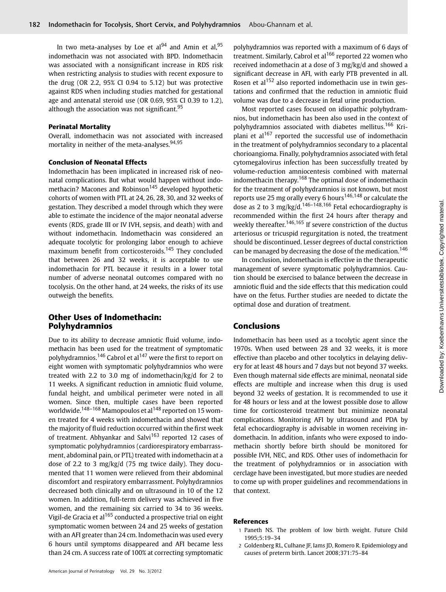In two meta-analyses by Loe et al<sup>94</sup> and Amin et al,  $95$ indomethacin was not associated with BPD. Indomethacin was associated with a nonsignificant increase in RDS risk when restricting analysis to studies with recent exposure to the drug (OR 2.2, 95% CI 0.94 to 5.12) but was protective against RDS when including studies matched for gestational age and antenatal steroid use (OR 0.69, 95% CI 0.39 to 1.2), although the association was not significant.  $95$ 

#### Perinatal Mortality

Overall, indomethacin was not associated with increased mortality in neither of the meta-analyses.<sup>94,95</sup>

#### Conclusion of Neonatal Effects

Indomethacin has been implicated in increased risk of neonatal complications. But what would happen without indomethacin? Macones and Robinson<sup>145</sup> developed hypothetic cohorts of women with PTL at 24, 26, 28, 30, and 32 weeks of gestation. They described a model through which they were able to estimate the incidence of the major neonatal adverse events (RDS, grade III or IV IVH, sepsis, and death) with and without indomethacin. Indomethacin was considered an adequate tocolytic for prolonging labor enough to achieve maximum benefit from corticosteroids.<sup>145</sup> They concluded that between 26 and 32 weeks, it is acceptable to use indomethacin for PTL because it results in a lower total number of adverse neonatal outcomes compared with no tocolysis. On the other hand, at 24 weeks, the risks of its use outweigh the benefits.

# Other Uses of Indomethacin: Polyhydramnios

Due to its ability to decrease amniotic fluid volume, indomethacin has been used for the treatment of symptomatic polyhydramnios.<sup>146</sup> Cabrol et al<sup>147</sup> were the first to report on eight women with symptomatic polyhydramnios who were treated with 2.2 to 3.0 mg of indomethacin/kg/d for 2 to 11 weeks. A significant reduction in amniotic fluid volume, fundal height, and umbilical perimeter were noted in all women. Since then, multiple cases have been reported worldwide.<sup>148–168</sup> Mamopoulos et al<sup>148</sup> reported on 15 women treated for 4 weeks with indomethacin and showed that the majority of fluid reduction occurred within the first week of treatment. Abhyankar and Salvi<sup>163</sup> reported 12 cases of symptomatic polyhydramnios (cardiorespiratory embarrassment, abdominal pain, or PTL) treated with indomethacin at a dose of 2.2 to 3 mg/kg/d (75 mg twice daily). They documented that 11 women were relieved from their abdominal discomfort and respiratory embarrassment. Polyhydramnios decreased both clinically and on ultrasound in 10 of the 12 women. In addition, full-term delivery was achieved in five women, and the remaining six carried to 34 to 36 weeks. Vigil-de Gracia et al<sup>165</sup> conducted a prospective trial on eight symptomatic women between 24 and 25 weeks of gestation with an AFI greater than 24 cm. Indomethacin was used every 6 hours until symptoms disappeared and AFI became less than 24 cm. A success rate of 100% at correcting symptomatic polyhydramnios was reported with a maximum of 6 days of treatment. Similarly, Cabrol et al<sup>166</sup> reported 22 women who received indomethacin at a dose of 3 mg/kg/d and showed a significant decrease in AFI, with early PTB prevented in all. Rosen et al<sup>152</sup> also reported indomethacin use in twin gestations and confirmed that the reduction in amniotic fluid volume was due to a decrease in fetal urine production.

Most reported cases focused on idiopathic polyhydramnios, but indomethacin has been also used in the context of polyhydramnios associated with diabetes mellitus.<sup>166</sup> Kriplani et al<sup>167</sup> reported the successful use of indomethacin in the treatment of polyhydramnios secondary to a placental chorioangioma. Finally, polyhydramnios associated with fetal cytomegalovirus infection has been successfully treated by volume-reduction amniocentesis combined with maternal indomethacin therapy.<sup>168</sup> The optimal dose of indomethacin for the treatment of polyhydramnios is not known, but most reports use 25 mg orally every 6 hours<sup>146,148</sup> or calculate the dose as 2 to 3 mg/kg/d.<sup>146-148,166</sup> Fetal echocardiography is recommended within the first 24 hours after therapy and weekly thereafter.<sup>146,165</sup> If severe constriction of the ductus arteriosus or tricuspid regurgitation is noted, the treatment should be discontinued. Lesser degrees of ductal constriction can be managed by decreasing the dose of the medication.<sup>146</sup>

In conclusion, indomethacin is effective in the therapeutic management of severe symptomatic polyhydramnios. Caution should be exercised to balance between the decrease in amniotic fluid and the side effects that this medication could have on the fetus. Further studies are needed to dictate the optimal dose and duration of treatment.

# Conclusions

Indomethacin has been used as a tocolytic agent since the 1970s. When used between 28 and 32 weeks, it is more effective than placebo and other tocolytics in delaying delivery for at least 48 hours and 7 days but not beyond 37 weeks. Even though maternal side effects are minimal, neonatal side effects are multiple and increase when this drug is used beyond 32 weeks of gestation. It is recommended to use it for 48 hours or less and at the lowest possible dose to allow time for corticosteroid treatment but minimize neonatal complications. Monitoring AFI by ultrasound and PDA by fetal echocardiography is advisable in women receiving indomethacin. In addition, infants who were exposed to indomethacin shortly before birth should be monitored for possible IVH, NEC, and RDS. Other uses of indomethacin for the treatment of polyhydramnios or in association with cerclage have been investigated, but more studies are needed to come up with proper guidelines and recommendations in that context.

#### References

- 1 Paneth NS. The problem of low birth weight. Future Child 1995;5:19–34
- 2 Goldenberg RL, Culhane JF, Iams JD, Romero R. Epidemiology and causes of preterm birth. Lancet 2008;371:75–84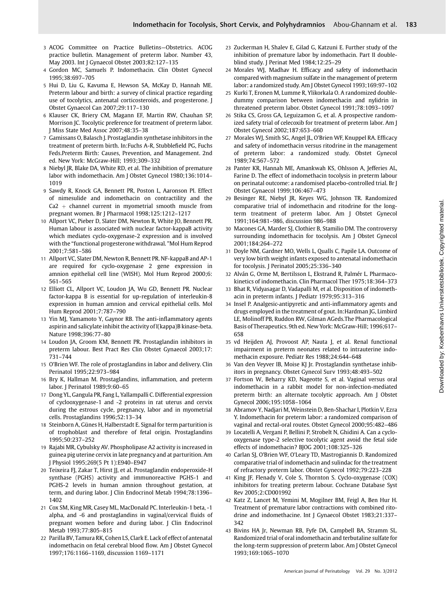- 3 ACOG Committee on Practice Bulletins—Obstetrics. ACOG practice bulletin. Management of preterm labor. Number 43, May 2003. Int J Gynaecol Obstet 2003;82:127–135
- 4 Gordon MC, Samuels P. Indomethacin. Clin Obstet Gynecol 1995;38:697–705
- 5 Hui D, Liu G, Kavuma E, Hewson SA, McKay D, Hannah ME. Preterm labour and birth: a survey of clinical practice regarding use of tocolytics, antenatal corticosteroids, and progesterone. J Obstet Gynaecol Can 2007;29:117–130
- 6 Klauser CK, Briery CM, Magann EF, Martin RW, Chauhan SP, Morrison JC. Tocolytic preference for treatment of preterm labor. J Miss State Med Assoc 2007;48:35–38
- 7 Gamissans O, Balasch J. Prostaglandin synthetase inhibitors in the treatment of preterm birth. In:Fuchs A-R, Stubblefield PG, Fuchs Feds.Preterm Birth: Causes, Prevention, and Management. 2nd ed. New York: McGraw-Hill; 1993;309–332
- 8 Niebyl JR, Blake DA, White RD, et al. The inhibition of premature labor with indomethacin. Am J Obstet Gynecol 1980;136:1014– 1019
- 9 Sawdy R, Knock GA, Bennett PR, Poston L, Aaronson PI. Effect of nimesulide and indomethacin on contractility and the  $Ca2 + channel$  current in myometrial smooth muscle from pregnant women. Br J Pharmacol 1998;125:1212–1217
- 10 Allport VC, Pieber D, Slater DM, Newton R, White JO, Bennett PR. Human labour is associated with nuclear factor-kappaB activity which mediates cyclo-oxygenase-2 expression and is involved with the "functional progesterone withdrawal. "Mol Hum Reprod 2001;7:581–586
- 11 Allport VC, Slater DM, Newton R, Bennett PR. NF-kappaB and AP-1 are required for cyclo-oxygenase 2 gene expression in amnion epithelial cell line (WISH). Mol Hum Reprod 2000;6: 561–565
- 12 Elliott CL, Allport VC, Loudon JA, Wu GD, Bennett PR. Nuclear factor-kappa B is essential for up-regulation of interleukin-8 expression in human amnion and cervical epithelial cells. Mol Hum Reprod 2001;7:787–790
- 13 Yin MJ, Yamamoto Y, Gaynor RB. The anti-inflammatory agents aspirin and salicylate inhibit the activity of I(kappa)B kinase-beta. Nature 1998;396:77–80
- 14 Loudon JA, Groom KM, Bennett PR. Prostaglandin inhibitors in preterm labour. Best Pract Res Clin Obstet Gynaecol 2003;17: 731–744
- 15 O'Brien WF. The role of prostaglandins in labor and delivery. Clin Perinatol 1995;22:973–984
- 16 Bry K, Hallman M. Prostaglandins, inflammation, and preterm labor. J Perinatol 1989;9:60–65
- 17 Dong YL, Gangula PR, Fang L, Yallampalli C. Differential expression of cyclooxygenase-1 and -2 proteins in rat uterus and cervix during the estrous cycle, pregnancy, labor and in myometrial cells. Prostaglandins 1996;52:13–34
- 18 Steinborn A, Günes H, Halberstadt E. Signal for term parturition is of trophoblast and therefore of fetal origin. Prostaglandins 1995;50:237–252
- 19 Rajabi MR, Cybulsky AV. Phospholipase A2 activity is increased in guinea pig uterine cervix in late pregnancy and at parturition. Am J Physiol 1995;269(5 Pt 1):E940–E947
- 20 Teixeira FJ, Zakar T, Hirst JJ, et al. Prostaglandin endoperoxide-H synthase (PGHS) activity and immunoreactive PGHS-1 and PGHS-2 levels in human amnion throughout gestation, at term, and during labor. J Clin Endocrinol Metab 1994;78:1396– 1402
- 21 Cox SM, King MR, Casey ML, MacDonald PC. Interleukin-1 beta, -1 alpha, and -6 and prostaglandins in vaginal/cervical fluids of pregnant women before and during labor. J Clin Endocrinol Metab 1993;77:805–815
- 22 Parilla BV, Tamura RK, Cohen LS, Clark E. Lack of effect of antenatal indomethacin on fetal cerebral blood flow. Am J Obstet Gynecol 1997;176:1166–1169, discussion 1169–1171
- 23 Zuckerman H, Shalev E, Gilad G, Katzuni E. Further study of the inhibition of premature labor by indomethacin. Part II doubleblind study. J Perinat Med 1984;12:25–29
- 24 Morales WJ, Madhav H. Efficacy and safety of indomethacin compared with magnesium sulfate in the management of preterm labor: a randomized study. Am J Obstet Gynecol 1993;169:97–102
- 25 Kurki T, Eronen M, Lumme R, Ylikorkala O. A randomized doubledummy comparison between indomethacin and nylidrin in threatened preterm labor. Obstet Gynecol 1991;78:1093–1097
- 26 Stika CS, Gross GA, Leguizamon G, et al. A prospective randomized safety trial of celecoxib for treatment of preterm labor. Am J Obstet Gynecol 2002;187:653–660
- 27 Morales WJ, Smith SG, Angel JL, O'Brien WF, Knuppel RA. Efficacy and safety of indomethacin versus ritodrine in the management of preterm labor: a randomized study. Obstet Gynecol 1989;74:567–572
- 28 Panter KR, Hannah ME, Amankwah KS, Ohlsson A, Jefferies AL, Farine D. The effect of indomethacin tocolysis in preterm labour on perinatal outcome: a randomised placebo-controlled trial. Br J Obstet Gynaecol 1999;106:467–473
- 29 Besinger RE, Niebyl JR, Keyes WG, Johnson TR. Randomized comparative trial of indomethacin and ritodrine for the longterm treatment of preterm labor. Am J Obstet Gynecol 1991;164:981–986, discussion 986–988
- 30 Macones GA, Marder SJ, Clothier B, Stamilio DM. The controversy surrounding indomethacin for tocolysis. Am J Obstet Gynecol 2001;184:264–272
- 31 Doyle NM, Gardner MO, Wells L, Qualls C, Papile LA. Outcome of very low birth weight infants exposed to antenatal indomethacin for tocolysis. J Perinatol 2005;25:336–340
- 32 Alván G, Orme M, Bertilsson L, Ekstrand R, Palmér L. Pharmacokinetics of indomethacin. Clin Pharmacol Ther 1975;18:364–373
- 33 Bhat R, Vidyasagar D, Vadapalli M, et al. Disposition of indomethacin in preterm infants. J Pediatr 1979;95:313–316
- 34 Insel P. Analgesic-antipyretic and anti-inflammatory agents and drugs employed in the treatment of gout. In:Hardman JG, Limbird LE, Molinoff PB, Ruddon RW, Gilman AGeds.The Pharmacological Basis of Therapeutics. 9th ed. New York: McGraw-Hill; 1996;617– 658
- 35 vd Heijden AJ, Provoost AP, Nauta J, et al. Renal functional impairment in preterm neonates related to intrauterine indomethacin exposure. Pediatr Res 1988;24:644–648
- 36 Van den Veyver IB, Moise KJ Jr. Prostaglandin synthetase inhibitors in pregnancy. Obstet Gynecol Surv 1993;48:493–502
- 37 Fortson W, Beharry KD, Nageotte S, et al. Vaginal versus oral indomethacin in a rabbit model for non-infection-mediated preterm birth: an alternate tocolytic approach. Am J Obstet Gynecol 2006;195:1058–1064
- 38 Abramov Y, Nadjari M, Weinstein D, Ben-Shachar I, Plotkin V, Ezra Y. Indomethacin for preterm labor: a randomized comparison of vaginal and rectal-oral routes. Obstet Gynecol 2000;95:482–486
- 39 Locatelli A, Vergani P, Bellini P, Strobelt N, Ghidini A. Can a cyclooxygenase type-2 selective tocolytic agent avoid the fetal side effects of indomethacin? BJOG 2001;108:325–326
- 40 Carlan SJ, O'Brien WF, O'Leary TD, Mastrogiannis D. Randomized comparative trial of indomethacin and sulindac for the treatment of refractory preterm labor. Obstet Gynecol 1992;79:223–228
- 41 King JF, Flenady V, Cole S, Thornton S. Cyclo-oxygenase (COX) inhibitors for treating preterm labour. Cochrane Database Syst Rev 2005;2:CD001992
- 42 Katz Z, Lancet M, Yemini M, Mogilner BM, Feigl A, Ben Hur H. Treatment of premature labor contractions with combined ritodrine and indomethacine. Int J Gynaecol Obstet 1983;21:337– 342
- 43 Bivins HA Jr, Newman RB, Fyfe DA, Campbell BA, Stramm SL. Randomized trial of oral indomethacin and terbutaline sulfate for the long-term suppression of preterm labor. Am J Obstet Gynecol 1993;169:1065–1070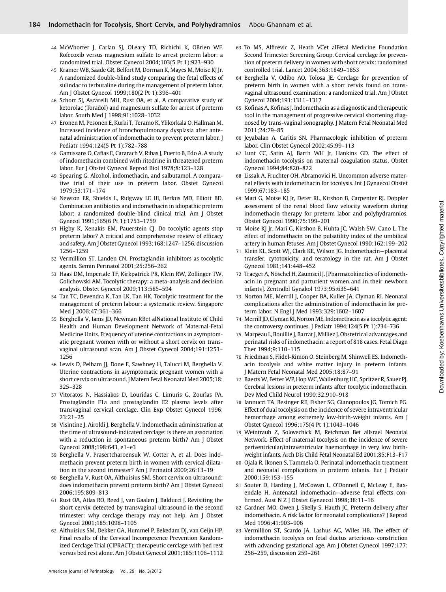- 44 McWhorter J, Carlan SJ, OLeary TD, Richichi K, OBrien WF. Rofecoxib versus magnesium sulfate to arrest preterm labor: a randomized trial. Obstet Gynecol 2004;103(5 Pt 1):923–930
- 45 Kramer WB, Saade GR, Belfort M, Dorman K, Mayes M, Moise KJ Jr. A randomized double-blind study comparing the fetal effects of sulindac to terbutaline during the management of preterm labor. Am J Obstet Gynecol 1999;180(2 Pt 1):396–401
- 46 Schorr SJ, Ascarelli MH, Rust OA, et al. A comparative study of ketorolac (Toradol) and magnesium sulfate for arrest of preterm labor. South Med J 1998;91:1028–1032
- 47 Eronen M, Pesonen E, Kurki T, Teramo K, Ylikorkala O, Hallman M. Increased incidence of bronchopulmonary dysplasia after antenatal administration of indomethacin to prevent preterm labor. J Pediatr 1994;124(5 Pt 1):782–788
- 48 Gamissans O, Cañas E, Cararach V, Ribas J, Puerto B, Edo A. A study of indomethacin combined with ritodrine in threatened preterm labor. Eur J Obstet Gynecol Reprod Biol 1978;8:123–128
- 49 Spearing G. Alcohol, indomethacin, and salbutamol. A comparative trial of their use in preterm labor. Obstet Gynecol 1979;53:171–174
- 50 Newton ER, Shields L, Ridgway LE III, Berkus MD, Elliott BD. Combination antibiotics and indomethacin in idiopathic preterm labor: a randomized double-blind clinical trial. Am J Obstet Gynecol 1991;165(6 Pt 1):1753–1759
- 51 Higby K, Xenakis EM, Pauerstein CJ. Do tocolytic agents stop preterm labor? A critical and comprehensive review of efficacy and safety. Am J Obstet Gynecol 1993;168:1247–1256, discussion 1256–1259
- 52 Vermillion ST, Landen CN. Prostaglandin inhibitors as tocolytic agents. Semin Perinatol 2001;25:256–262
- 53 Haas DM, Imperiale TF, Kirkpatrick PR, Klein RW, Zollinger TW, Golichowski AM. Tocolytic therapy: a meta-analysis and decision analysis. Obstet Gynecol 2009;113:585–594
- 54 Tan TC, Devendra K, Tan LK, Tan HK. Tocolytic treatment for the management of preterm labour: a systematic review. Singapore Med J 2006;47:361–366
- 55 Berghella V, Iams JD, Newman RBet alNational Institute of Child Health and Human Development Network of Maternal-Fetal Medicine Units. Frequency of uterine contractions in asymptomatic pregnant women with or without a short cervix on transvaginal ultrasound scan. Am J Obstet Gynecol 2004;191:1253– 1256
- 56 Lewis D, Pelham JJ, Done E, Sawhney H, Talucci M, Berghella V. Uterine contractions in asymptomatic pregnant women with a short cervix on ultrasound. J Matern Fetal Neonatal Med 2005;18: 325–328
- 57 Vitoratos N, Hassiakos D, Louridas C, Limuris G, Zourlas PA. Prostaglandin F1a and prostaglandin E2 plasma levels after transvaginal cervical cerclage. Clin Exp Obstet Gynecol 1996; 23:21–25
- 58 Visintine J, Airoldi J, Berghella V. Indomethacin administration at the time of ultrasound-indicated cerclage: is there an association with a reduction in spontaneous preterm birth? Am J Obstet Gynecol 2008;198:643, e1–e3
- 59 Berghella V, Prasertcharoensuk W, Cotter A, et al. Does indomethacin prevent preterm birth in women with cervical dilatation in the second trimester? Am J Perinatol 2009;26:13–19
- 60 Berghella V, Rust OA, Althuisius SM. Short cervix on ultrasound: does indomethacin prevent preterm birth? Am J Obstet Gynecol 2006;195:809–813
- 61 Rust OA, Atlas RO, Reed J, van Gaalen J, Balducci J. Revisiting the short cervix detected by transvaginal ultrasound in the second trimester: why cerclage therapy may not help. Am J Obstet Gynecol 2001;185:1098–1105
- 62 Althuisius SM, Dekker GA, Hummel P, Bekedam DJ, van Geijn HP. Final results of the Cervical Incompetence Prevention Randomized Cerclage Trial (CIPRACT): therapeutic cerclage with bed rest versus bed rest alone. Am J Obstet Gynecol 2001;185:1106–1112
- 63 To MS, Alfirevic Z, Heath VCet alFetal Medicine Foundation Second Trimester Screening Group. Cervical cerclage for prevention of preterm delivery in women with short cervix: randomised controlled trial. Lancet 2004;363:1849–1853
- 64 Berghella V, Odibo AO, Tolosa JE. Cerclage for prevention of preterm birth in women with a short cervix found on transvaginal ultrasound examination: a randomized trial. Am J Obstet Gynecol 2004;191:1311–1317
- 65 Kofinas A, Kofinas J. Indomethacin as a diagnostic and therapeutic tool in the management of progressive cervical shortening diagnosed by trans-vaginal sonography. J Matern Fetal Neonatal Med 2011;24:79–85
- 66 Jeyabalan A, Caritis SN. Pharmacologic inhibition of preterm labor. Clin Obstet Gynecol 2002;45:99–113
- 67 Lunt CC, Satin AJ, Barth WH Jr, Hankins GD. The effect of indomethacin tocolysis on maternal coagulation status. Obstet Gynecol 1994;84:820–822
- 68 Lissak A, Fruchter OH, Abramovici H. Uncommon adverse maternal effects with indomethacin for tocolysis. Int J Gynaecol Obstet 1999;67:183–185
- 69 Mari G, Moise KJ Jr, Deter RL, Kirshon B, Carpenter RJ. Doppler assessment of the renal blood flow velocity waveform during indomethacin therapy for preterm labor and polyhydramnios. Obstet Gynecol 1990;75:199–201
- 70 Moise KJ Jr, Mari G, Kirshon B, Huhta JC, Walsh SW, Cano L. The effect of indomethacin on the pulsatility index of the umbilical artery in human fetuses. Am J Obstet Gynecol 1990;162:199–202
- 71 Klein KL, Scott WJ, Clark KE, Wilson JG. Indomethacin—placental transfer, cytotoxicity, and teratology in the rat. Am J Obstet Gynecol 1981;141:448–452
- 72 Traeger A, Nöschel H, Zaumseil J. [Pharmacokinetics of indomethacin in pregnant and parturient women and in their newborn infants]. Zentralbl Gynakol 1973;95:635–641
- 73 Norton ME, Merrill J, Cooper BA, Kuller JA, Clyman RI. Neonatal complications after the administration of indomethacin for preterm labor. N Engl J Med 1993;329:1602–1607
- 74 Merrill JD, Clyman RI, Norton ME. Indomethacin as a tocolytic agent: the controversy continues. J Pediatr 1994;124(5 Pt 1):734–736
- 75 Marpeau L, Bouillie J, Barrat J, Milliez J. Obstetrical advantages and perinatal risks of indomethacin: a report of 818 cases. Fetal Diagn Ther 1994;9:110–115
- 76 Friedman S, Flidel-Rimon O, Steinberg M, Shinwell ES. Indomethacin tocolysis and white matter injury in preterm infants. J Matern Fetal Neonatal Med 2005;18:87–91
- 77 Baerts W, Fetter WP, Hop WC, Wallenburg HC, Spritzer R, Sauer PJ. Cerebral lesions in preterm infants after tocolytic indomethacin. Dev Med Child Neurol 1990;32:910–918
- 78 Iannucci TA, Besinger RE, Fisher SG, Gianopoulos JG, Tomich PG. Effect of dual tocolysis on the incidence of severe intraventricular hemorrhage among extremely low-birth-weight infants. Am J Obstet Gynecol 1996;175(4 Pt 1):1043–1046
- 79 Weintraub Z, Solovechick M, Reichman Bet alIsrael Neonatal Network. Effect of maternal tocolysis on the incidence of severe periventricular/intraventricular haemorrhage in very low birthweight infants. Arch Dis Child Fetal Neonatal Ed 2001;85:F13–F17
- 80 Ojala R, Ikonen S, Tammela O. Perinatal indomethacin treatment and neonatal complications in preterm infants. Eur J Pediatr 2000;159:153–155
- 81 Souter D, Harding J, McCowan L, O'Donnell C, McLeay E, Baxendale H. Antenatal indomethacin—adverse fetal effects confirmed. Aust N Z J Obstet Gynaecol 1998;38:11–16
- 82 Gardner MO, Owen J, Skelly S, Hauth JC. Preterm delivery after indomethacin. A risk factor for neonatal complications? J Reprod Med 1996;41:903–906
- 83 Vermillion ST, Scardo JA, Lashus AG, Wiles HB. The effect of indomethacin tocolysis on fetal ductus arteriosus constriction with advancing gestational age. Am J Obstet Gynecol 1997;177: 256–259, discussion 259–261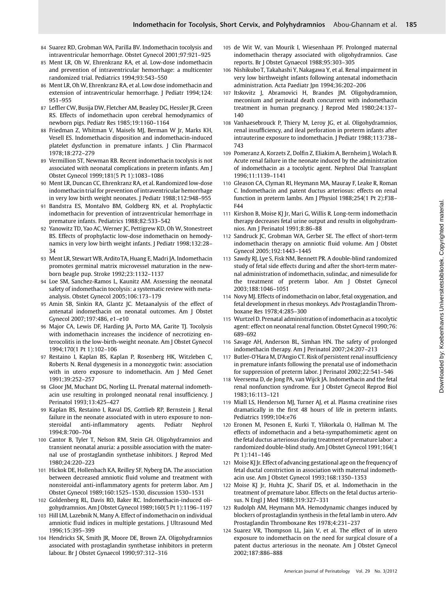- 84 Suarez RD, Grobman WA, Parilla BV. Indomethacin tocolysis and intraventricular hemorrhage. Obstet Gynecol 2001;97:921–925
- 85 Ment LR, Oh W, Ehrenkranz RA, et al. Low-dose indomethacin and prevention of intraventricular hemorrhage: a multicenter randomized trial. Pediatrics 1994;93:543–550
- 86 Ment LR, Oh W, Ehrenkranz RA, et al. Low dose indomethacin and extension of intraventricular hemorrhage. J Pediatr 1994;124: 951–955
- 87 Leffler CW, Busija DW, Fletcher AM, Beasley DG, Hessler JR, Green RS. Effects of indomethacin upon cerebral hemodynamics of newborn pigs. Pediatr Res 1985;19:1160–1164
- 88 Friedman Z, Whitman V, Maisels MJ, Berman W Jr, Marks KH, Vesell ES. Indomethacin disposition and indomethacin-induced platelet dysfunction in premature infants. J Clin Pharmacol 1978;18:272–279
- 89 Vermillion ST, Newman RB. Recent indomethacin tocolysis is not associated with neonatal complications in preterm infants. Am J Obstet Gynecol 1999;181(5 Pt 1):1083–1086
- 90 Ment LR, Duncan CC, Ehrenkranz RA, et al. Randomized low-dose indomethacin trial for prevention of intraventricular hemorrhage in very low birth weight neonates. J Pediatr 1988;112:948–955
- 91 Bandstra ES, Montalvo BM, Goldberg RN, et al. Prophylactic indomethacin for prevention of intraventricular hemorrhage in premature infants. Pediatrics 1988;82:533–542
- 92 Yanowitz TD, Yao AC, Werner JC, Pettigrew KD, Oh W, Stonestreet BS. Effects of prophylactic low-dose indomethacin on hemodynamics in very low birth weight infants. J Pediatr 1998;132:28– 34
- 93 Ment LR, Stewart WB, ArditoTA, Huang E, Madri JA. Indomethacin promotes germinal matrix microvessel maturation in the newborn beagle pup. Stroke 1992;23:1132–1137
- 94 Loe SM, Sanchez-Ramos L, Kaunitz AM. Assessing the neonatal safety of indomethacin tocolysis: a systematic review with metaanalysis. Obstet Gynecol 2005;106:173–179
- 95 Amin SB, Sinkin RA, Glantz JC. Metaanalysis of the effect of antenatal indomethacin on neonatal outcomes. Am J Obstet Gynecol 2007;197:486, e1–e10
- 96 Major CA, Lewis DF, Harding JA, Porto MA, Garite TJ. Tocolysis with indomethacin increases the incidence of necrotizing enterocolitis in the low-birth-weight neonate. Am J Obstet Gynecol 1994;170(1 Pt 1):102–106
- 97 Restaino I, Kaplan BS, Kaplan P, Rosenberg HK, Witzleben C, Roberts N. Renal dysgenesis in a monozygotic twin: association with in utero exposure to indomethacin. Am J Med Genet 1991;39:252–257
- 98 Gloor JM, Muchant DG, Norling LL. Prenatal maternal indomethacin use resulting in prolonged neonatal renal insufficiency. J Perinatol 1993;13:425–427
- 99 Kaplan BS, Restaino I, Raval DS, Gottlieb RP, Bernstein J. Renal failure in the neonate associated with in utero exposure to nonsteroidal anti-inflammatory agents. Pediatr Nephrol 1994;8:700–704
- 100 Cantor B, Tyler T, Nelson RM, Stein GH. Oligohydramnios and transient neonatal anuria: a possible association with the maternal use of prostaglandin synthetase inhibitors. J Reprod Med 1980;24:220–223
- 101 Hickok DE, Hollenbach KA, Reilley SF, Nyberg DA. The association between decreased amniotic fluid volume and treatment with nonsteroidal anti-inflammatory agents for preterm labor. Am J Obstet Gynecol 1989;160:1525–1530, discussion 1530–1531
- 102 Goldenberg RL, Davis RO, Baker RC. Indomethacin-induced oligohydramnios. Am J Obstet Gynecol 1989;160(5 Pt 1):1196–1197
- 103 Hill LM, Lazebnik N, Many A. Effect of indomethacin on individual amniotic fluid indices in multiple gestations. J Ultrasound Med 1996;15:395–399
- 104 Hendricks SK, Smith JR, Moore DE, Brown ZA. Oligohydramnios associated with prostaglandin synthetase inhibitors in preterm labour. Br J Obstet Gynaecol 1990;97:312–316
- 105 de Wit W, van Mourik I, Wiesenhaan PF. Prolonged maternal indomethacin therapy associated with oligohydramnios. Case reports. Br J Obstet Gynaecol 1988;95:303–305
- 106 Nishikubo T, Takahashi Y, Nakagawa Y, et al. Renal impairment in very low birthweight infants following antenatal indomethacin administration. Acta Paediatr Jpn 1994;36:202–206
- 107 Itskovitz J, Abramovici H, Brandes JM. Oligohydramnion, meconium and perinatal death concurrent with indomethacin treatment in human pregnancy. J Reprod Med 1980;24:137– 140
- 108 Vanhaesebrouck P, Thiery M, Leroy JG, et al. Oligohydramnios, renal insufficiency, and ileal perforation in preterm infants after intrauterine exposure to indomethacin. J Pediatr 1988;113:738– 743
- 109 Pomeranz A, Korzets Z, Dolfin Z, Eliakim A, Bernheim J, Wolach B. Acute renal failure in the neonate induced by the administration of indomethacin as a tocolytic agent. Nephrol Dial Transplant 1996;11:1139–1141
- 110 Gleason CA, Clyman RI, Heymann MA, Mauray F, Leake R, Roman C. Indomethacin and patent ductus arteriosus: effects on renal function in preterm lambs. Am J Physiol 1988;254(1 Pt 2):F38– F44
- 111 Kirshon B, Moise KJ Jr, Mari G, Willis R. Long-term indomethacin therapy decreases fetal urine output and results in oligohydramnios. Am J Perinatol 1991;8:86–88
- 112 Sandruck JC, Grobman WA, Gerber SE. The effect of short-term indomethacin therapy on amniotic fluid volume. Am J Obstet Gynecol 2005;192:1443–1445
- 113 Sawdy RJ, Lye S, Fisk NM, Bennett PR. A double-blind randomized study of fetal side effects during and after the short-term maternal administration of indomethacin, sulindac, and nimesulide for the treatment of preterm labor. Am J Obstet Gynecol 2003;188:1046–1051
- 114 Novy MJ. Effects of indomethacin on labor, fetal oxygenation, and fetal development in rhesus monkeys. Adv Prostaglandin Thromboxane Res 1978;4:285–300
- 115 Wurtzel D. Prenatal administration of indomethacin as a tocolytic agent: effect on neonatal renal function. Obstet Gynecol 1990;76: 689–692
- 116 Savage AH, Anderson BL, Simhan HN. The safety of prolonged indomethacin therapy. Am J Perinatol 2007;24:207–213
- 117 Butler-O'Hara M, D'Angio CT. Risk of persistent renal insufficiency in premature infants following the prenatal use of indomethacin for suppression of preterm labor. J Perinatol 2002;22:541–546
- 118 Veersema D, de Jong PA, van Wijck JA. Indomethacin and the fetal renal nonfunction syndrome. Eur J Obstet Gynecol Reprod Biol 1983;16:113–121
- 119 Miall LS, Henderson MJ, Turner AJ, et al. Plasma creatinine rises dramatically in the first 48 hours of life in preterm infants. Pediatrics 1999;104:e76
- 120 Eronen M, Pesonen E, Kurki T, Ylikorkala O, Hallman M. The effects of indomethacin and a beta-sympathomimetic agent on the fetal ductus arteriosus during treatment of premature labor: a randomized double-blind study. Am J Obstet Gynecol 1991;164(1 Pt 1):141–146
- 121 Moise KJ Jr. Effect of advancing gestational age on the frequency of fetal ductal constriction in association with maternal indomethacin use. Am J Obstet Gynecol 1993;168:1350–1353
- 122 Moise KJ Jr, Huhta JC, Sharif DS, et al. Indomethacin in the treatment of premature labor. Effects on the fetal ductus arteriosus. N Engl J Med 1988;319:327–331
- 123 Rudolph AM, Heymann MA. Hemodynamic changes induced by blockers of prostaglandin synthesis in the fetal lamb in utero. Adv Prostaglandin Thromboxane Res 1978;4:231–237
- 124 Suarez VR, Thompson LL, Jain V, et al. The effect of in utero exposure to indomethacin on the need for surgical closure of a patent ductus arteriosus in the neonate. Am J Obstet Gynecol 2002;187:886–888